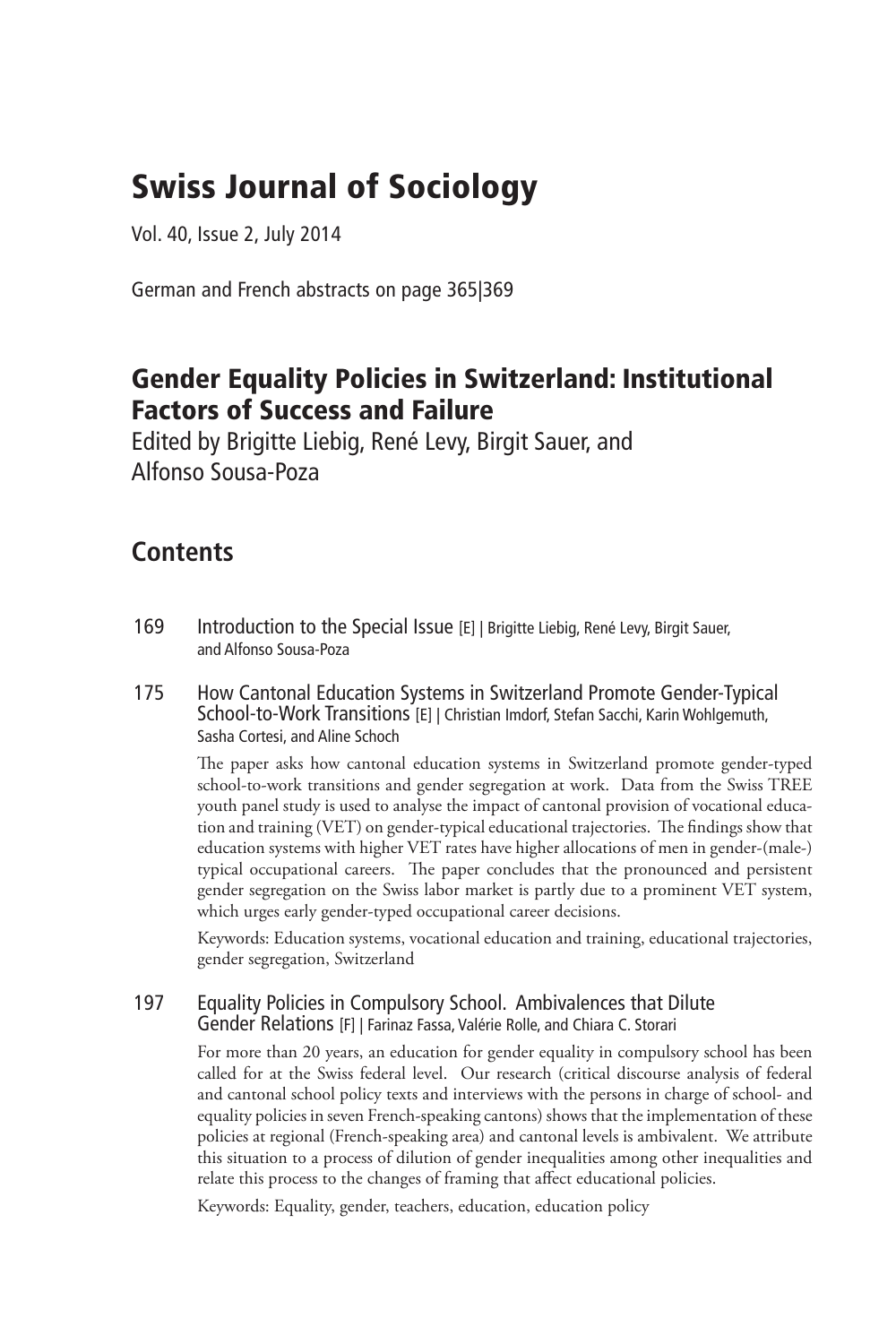# Swiss Journal of Sociology

Vol. 40, Issue 2, July 2014

German and French abstracts on page 365|369

### Gender Equality Policies in Switzerland: Institutional Factors of Success and Failure

Edited by Brigitte Liebig, René Levy, Birgit Sauer, and Alfonso Sousa-Poza

### **Contents**

- 169 Introduction to the Special Issue [E] | Brigitte Liebig, René Levy, Birgit Sauer, and Alfonso Sousa-Poza
- 175 How Cantonal Education Systems in Switzerland Promote Gender-Typical School-to-Work Transitions [E] | Christian Imdorf, Stefan Sacchi, Karin Wohlgemuth, Sasha Cortesi, and Aline Schoch

The paper asks how cantonal education systems in Switzerland promote gender-typed school-to-work transitions and gender segregation at work. Data from the Swiss TREE youth panel study is used to analyse the impact of cantonal provision of vocational education and training (VET) on gender-typical educational trajectories. The findings show that education systems with higher VET rates have higher allocations of men in gender-(male-) typical occupational careers. The paper concludes that the pronounced and persistent gender segregation on the Swiss labor market is partly due to a prominent VET system, which urges early gender-typed occupational career decisions.

Keywords: Education systems, vocational education and training, educational trajectories, gender segregation, Switzerland

#### 197 Equality Policies in Compulsory School. Ambivalences that Dilute Gender Relations [F] | Farinaz Fassa, Valérie Rolle, and Chiara C. Storari

For more than 20 years, an education for gender equality in compulsory school has been called for at the Swiss federal level. Our research (critical discourse analysis of federal and cantonal school policy texts and interviews with the persons in charge of school- and equality policies in seven French-speaking cantons) shows that the implementation of these policies at regional (French-speaking area) and cantonal levels is ambivalent. We attribute this situation to a process of dilution of gender inequalities among other inequalities and relate this process to the changes of framing that affect educational policies.

Keywords: Equality, gender, teachers, education, education policy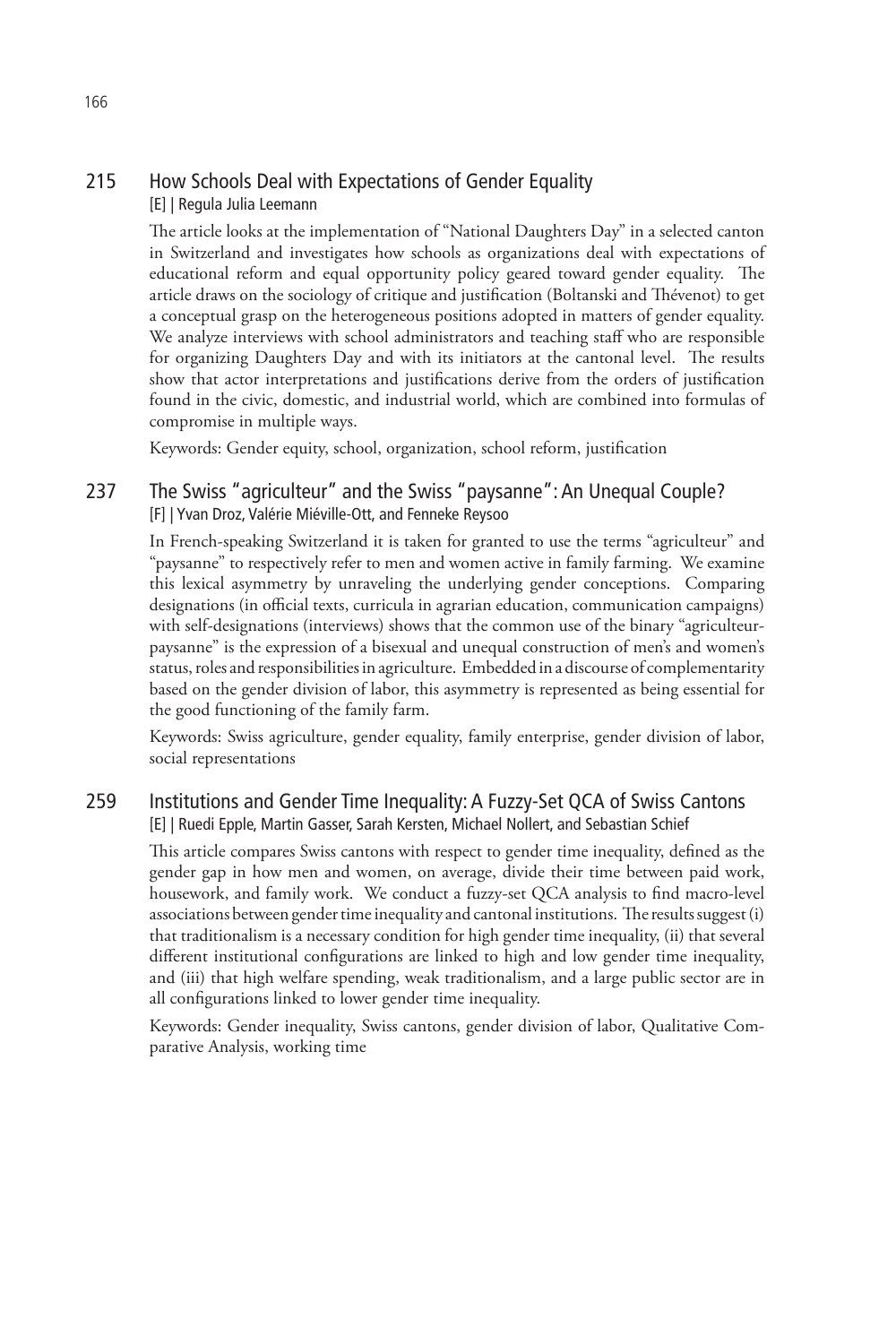#### 215 How Schools Deal with Expectations of Gender Equality [E] | Regula Julia Leemann

The article looks at the implementation of "National Daughters Day" in a selected canton in Switzerland and investigates how schools as organizations deal with expectations of educational reform and equal opportunity policy geared toward gender equality. The article draws on the sociology of critique and justification (Boltanski and Thévenot) to get a conceptual grasp on the heterogeneous positions adopted in matters of gender equality. We analyze interviews with school administrators and teaching staff who are responsible for organizing Daughters Day and with its initiators at the cantonal level. The results show that actor interpretations and justifications derive from the orders of justification found in the civic, domestic, and industrial world, which are combined into formulas of compromise in multiple ways.

Keywords: Gender equity, school, organization, school reform, justification

#### 237 The Swiss "agriculteur" and the Swiss "paysanne": An Unequal Couple? [F] | Yvan Droz, Valérie Miéville-Ott, and Fenneke Reysoo

In French-speaking Switzerland it is taken for granted to use the terms "agriculteur" and "paysanne" to respectively refer to men and women active in family farming. We examine this lexical asymmetry by unraveling the underlying gender conceptions. Comparing designations (in official texts, curricula in agrarian education, communication campaigns) with self-designations (interviews) shows that the common use of the binary "agriculteurpaysanne" is the expression of a bisexual and unequal construction of men's and women's status, roles and responsibilities in agriculture. Embedded in a discourse of complementarity based on the gender division of labor, this asymmetry is represented as being essential for the good functioning of the family farm.

Keywords: Swiss agriculture, gender equality, family enterprise, gender division of labor, social representations

#### 259 Institutions and Gender Time Inequality: A Fuzzy-Set QCA of Swiss Cantons [E] | Ruedi Epple, Martin Gasser, Sarah Kersten, Michael Nollert, and Sebastian Schief

This article compares Swiss cantons with respect to gender time inequality, defined as the gender gap in how men and women, on average, divide their time between paid work, housework, and family work. We conduct a fuzzy-set QCA analysis to find macro-level associations between gender time inequality and cantonal institutions. The results suggest (i) that traditionalism is a necessary condition for high gender time inequality, (ii) that several different institutional configurations are linked to high and low gender time inequality, and (iii) that high welfare spending, weak traditionalism, and a large public sector are in all configurations linked to lower gender time inequality.

Keywords: Gender inequality, Swiss cantons, gender division of labor, Qualitative Comparative Analysis, working time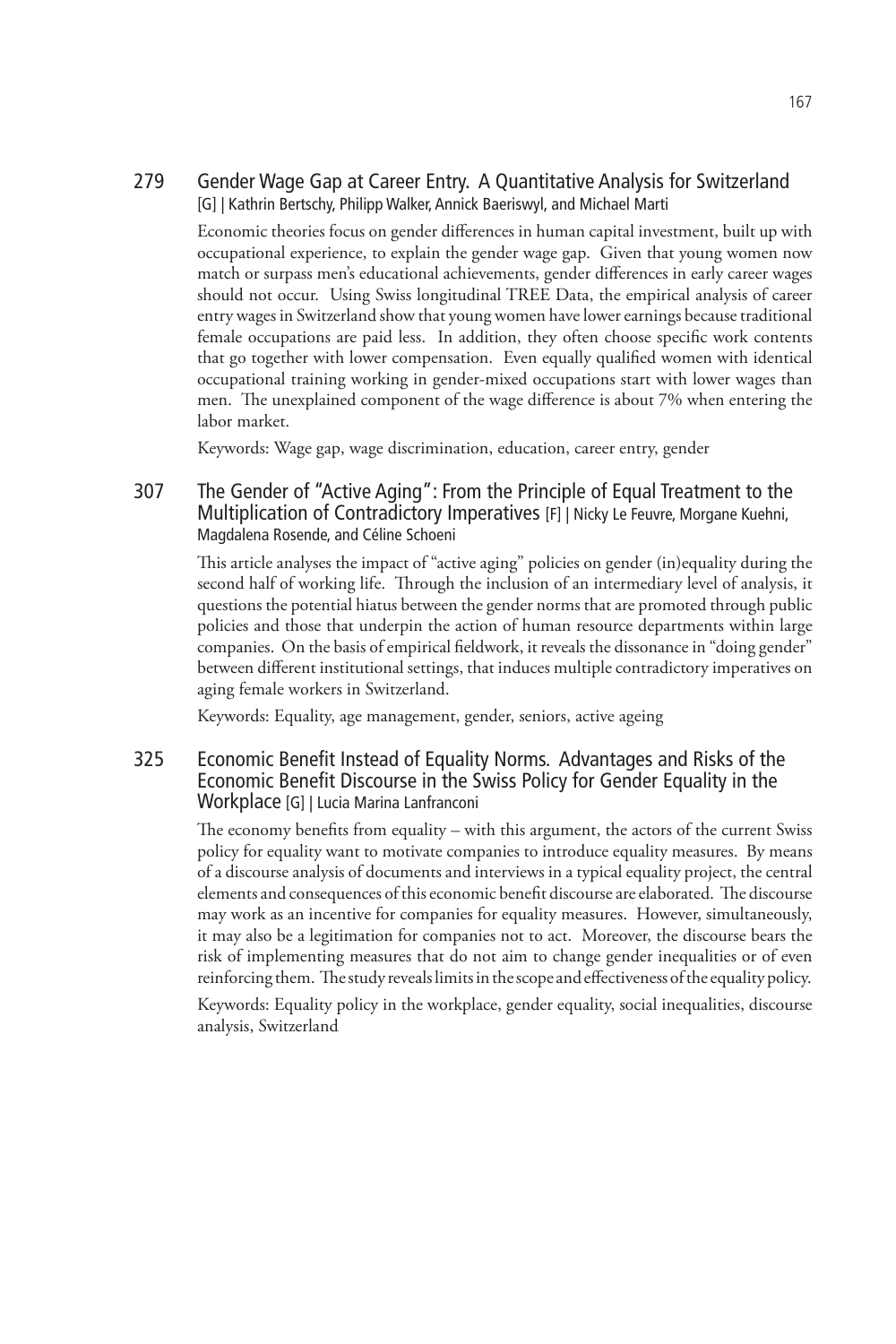#### 279 Gender Wage Gap at Career Entry. A Quantitative Analysis for Switzerland [G] | Kathrin Bertschy, Philipp Walker, Annick Baeriswyl, and Michael Marti

Economic theories focus on gender differences in human capital investment, built up with occupational experience, to explain the gender wage gap. Given that young women now match or surpass men's educational achievements, gender differences in early career wages should not occur. Using Swiss longitudinal TREE Data, the empirical analysis of career entry wages in Switzerland show that young women have lower earnings because traditional female occupations are paid less. In addition, they often choose specific work contents that go together with lower compensation. Even equally qualified women with identical occupational training working in gender-mixed occupations start with lower wages than men. The unexplained component of the wage difference is about 7% when entering the labor market.

Keywords: Wage gap, wage discrimination, education, career entry, gender

#### 307 The Gender of "Active Aging": From the Principle of Equal Treatment to the Multiplication of Contradictory Imperatives [F] | Nicky Le Feuvre, Morgane Kuehni, Magdalena Rosende, and Céline Schoeni

This article analyses the impact of "active aging" policies on gender (in)equality during the second half of working life. Through the inclusion of an intermediary level of analysis, it questions the potential hiatus between the gender norms that are promoted through public policies and those that underpin the action of human resource departments within large companies. On the basis of empirical fieldwork, it reveals the dissonance in "doing gender" between different institutional settings, that induces multiple contradictory imperatives on aging female workers in Switzerland.

Keywords: Equality, age management, gender, seniors, active ageing

#### 325 Economic Benefit Instead of Equality Norms. Advantages and Risks of the Economic Benefit Discourse in the Swiss Policy for Gender Equality in the Workplace [G] | Lucia Marina Lanfranconi

The economy benefits from equality – with this argument, the actors of the current Swiss policy for equality want to motivate companies to introduce equality measures. By means of a discourse analysis of documents and interviews in a typical equality project, the central elements and consequences of this economic benefit discourse are elaborated. The discourse may work as an incentive for companies for equality measures. However, simultaneously, it may also be a legitimation for companies not to act. Moreover, the discourse bears the risk of implementing measures that do not aim to change gender inequalities or of even reinforcing them. The study reveals limits in the scope and effectiveness of the equality policy.

Keywords: Equality policy in the workplace, gender equality, social inequalities, discourse analysis, Switzerland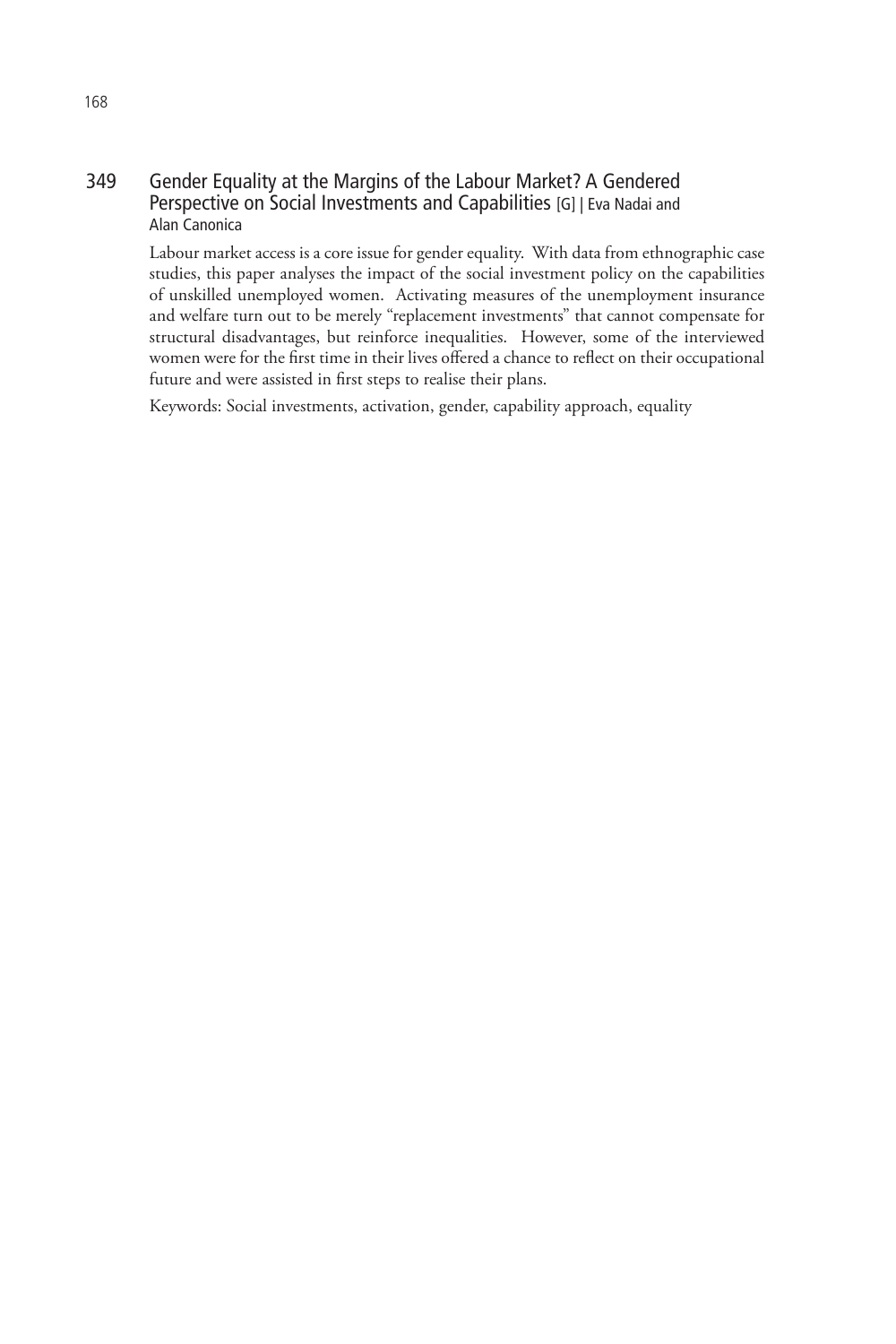#### 349 Gender Equality at the Margins of the Labour Market? A Gendered Perspective on Social Investments and Capabilities [G] | Eva Nadai and Alan Canonica

Labour market access is a core issue for gender equality. With data from ethnographic case studies, this paper analyses the impact of the social investment policy on the capabilities of unskilled unemployed women. Activating measures of the unemployment insurance and welfare turn out to be merely "replacement investments" that cannot compensate for structural disadvantages, but reinforce inequalities. However, some of the interviewed women were for the first time in their lives offered a chance to reflect on their occupational future and were assisted in first steps to realise their plans.

Keywords: Social investments, activation, gender, capability approach, equality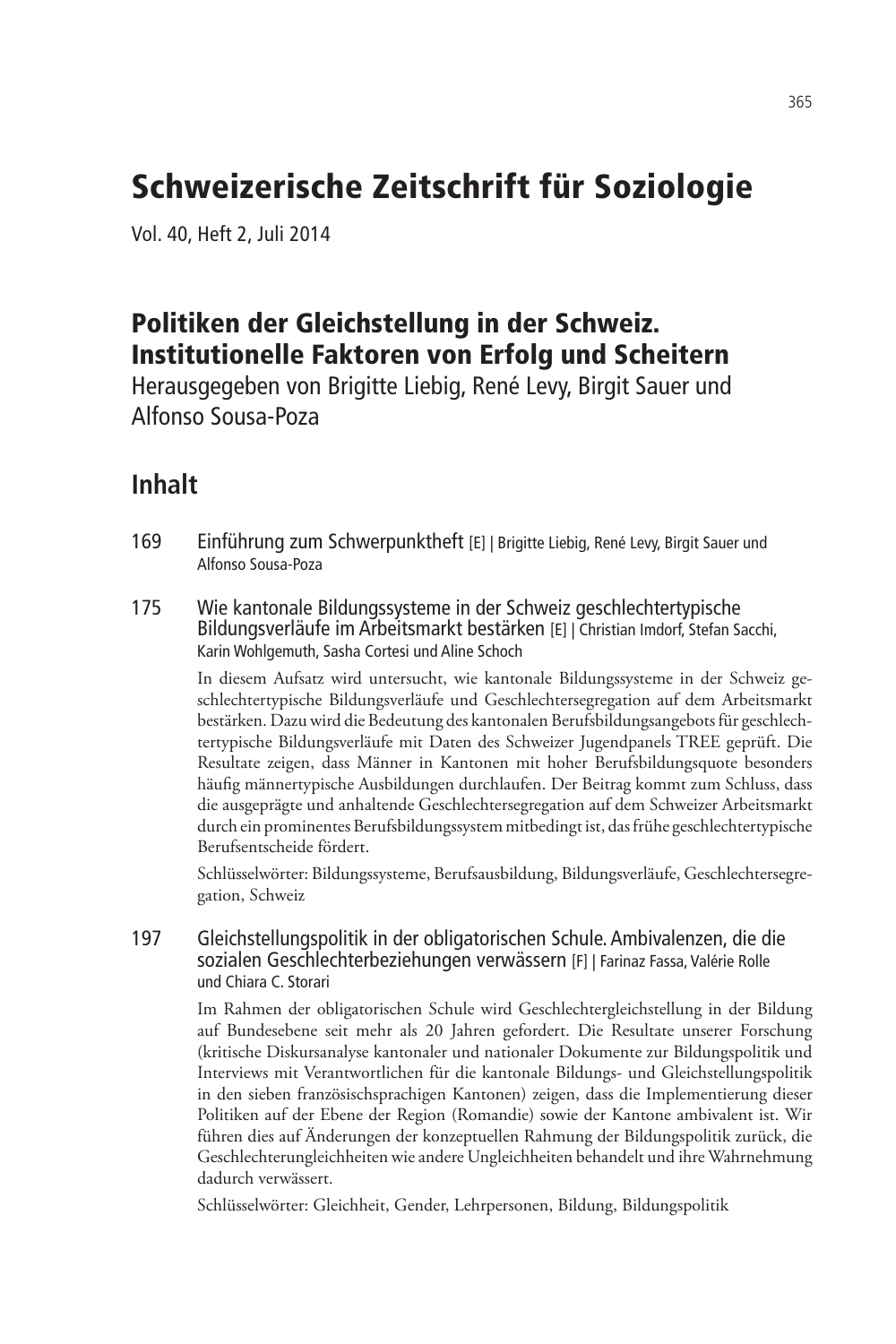# Schweizerische Zeitschrift für Soziologie

Vol. 40, Heft 2, Juli 2014

### Politiken der Gleichstellung in der Schweiz. Institutionelle Faktoren von Erfolg und Scheitern

Herausgegeben von Brigitte Liebig, René Levy, Birgit Sauer und Alfonso Sousa-Poza

### **Inhalt**

- 169 Einführung zum Schwerpunktheft [E] | Brigitte Liebig, René Levy, Birgit Sauer und Alfonso Sousa-Poza
- 175 Wie kantonale Bildungssysteme in der Schweiz geschlechtertypische Bildungsverläufe im Arbeitsmarkt bestärken [E] | Christian Imdorf, Stefan Sacchi, Karin Wohlgemuth, Sasha Cortesi und Aline Schoch

In diesem Aufsatz wird untersucht, wie kantonale Bildungssysteme in der Schweiz geschlechtertypische Bildungsverläufe und Geschlechtersegregation auf dem Arbeitsmarkt bestärken. Dazu wird die Bedeutung des kantonalen Berufsbildungsangebots für geschlechtertypische Bildungsverläufe mit Daten des Schweizer Jugendpanels TREE geprüft. Die Resultate zeigen, dass Männer in Kantonen mit hoher Berufsbildungsquote besonders häufig männertypische Ausbildungen durchlaufen. Der Beitrag kommt zum Schluss, dass die ausgeprägte und anhaltende Geschlechtersegregation auf dem Schweizer Arbeitsmarkt durch ein prominentes Berufsbildungssystem mitbedingt ist, das frühe geschlechtertypische Berufsentscheide fördert.

Schlüsselwörter: Bildungssysteme, Berufsausbildung, Bildungsverläufe, Geschlechtersegregation, Schweiz

#### 197 Gleichstellungspolitik in der obligatorischen Schule. Ambivalenzen, die die sozialen Geschlechterbeziehungen verwässern [F] | Farinaz Fassa, Valérie Rolle und Chiara C. Storari

Im Rahmen der obligatorischen Schule wird Geschlechtergleichstellung in der Bildung auf Bundesebene seit mehr als 20 Jahren gefordert. Die Resultate unserer Forschung (kritische Diskursanalyse kantonaler und nationaler Dokumente zur Bildungspolitik und Interviews mit Verantwortlichen für die kantonale Bildungs- und Gleichstellungspolitik in den sieben französischsprachigen Kantonen) zeigen, dass die Implementierung dieser Politiken auf der Ebene der Region (Romandie) sowie der Kantone ambivalent ist. Wir führen dies auf Änderungen der konzeptuellen Rahmung der Bildungspolitik zurück, die Geschlechterungleichheiten wie andere Ungleichheiten behandelt und ihre Wahrnehmung dadurch verwässert.

Schlüsselwörter: Gleichheit, Gender, Lehrpersonen, Bildung, Bildungspolitik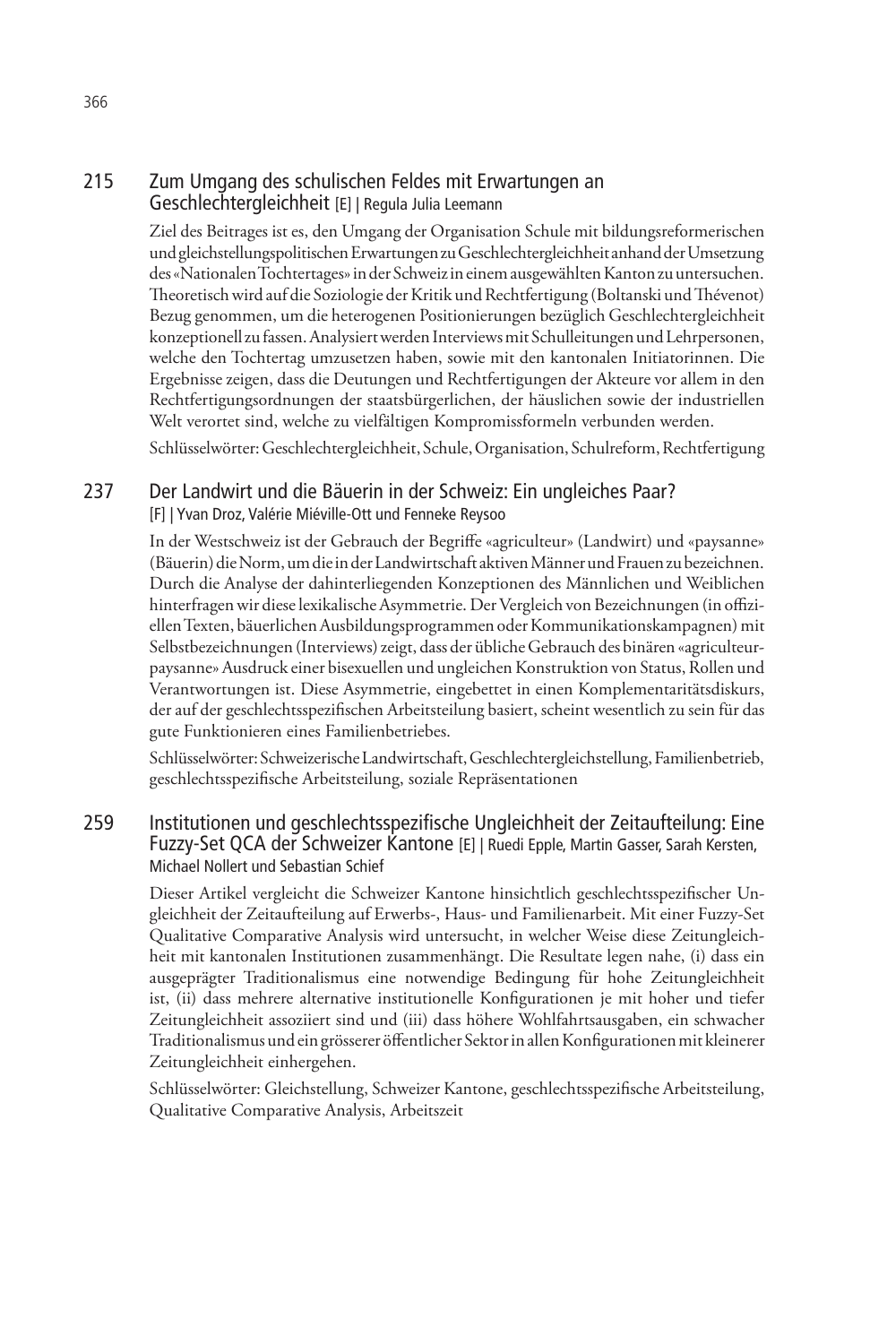#### 215 Zum Umgang des schulischen Feldes mit Erwartungen an Geschlechtergleichheit [E] | Regula Julia Leemann

Ziel des Beitrages ist es, den Umgang der Organisation Schule mit bildungsreformerischen und gleichstellungspolitischen Erwartungen zu Geschlechtergleichheit anhand der Umsetzung des «Nationalen Tochtertages» in der Schweiz in einem ausgewählten Kanton zu untersuchen. Theoretisch wird auf die Soziologie der Kritik und Rechtfertigung (Boltanski und Thévenot) Bezug genommen, um die heterogenen Positionierungen bezüglich Geschlechtergleichheit konzeptionell zu fassen. Analysiert werden Interviews mit Schulleitungen und Lehrpersonen, welche den Tochtertag umzusetzen haben, sowie mit den kantonalen Initiatorinnen. Die Ergebnisse zeigen, dass die Deutungen und Rechtfertigungen der Akteure vor allem in den Rechtfertigungsordnungen der staatsbürgerlichen, der häuslichen sowie der industriellen Welt verortet sind, welche zu vielfältigen Kompromissformeln verbunden werden.

Schlüsselwörter: Geschlechtergleichheit, Schule, Organisation, Schulreform, Rechtfertigung

#### 237 Der Landwirt und die Bäuerin in der Schweiz: Ein ungleiches Paar? [F] | Yvan Droz, Valérie Miéville-Ott und Fenneke Reysoo

In der Westschweiz ist der Gebrauch der Begriffe «agriculteur» (Landwirt) und «paysanne» (Bäuerin) die Norm, um die in der Landwirtschaft aktiven Männer und Frauen zu bezeichnen. Durch die Analyse der dahinterliegenden Konzeptionen des Männlichen und Weiblichen hinterfragen wir diese lexikalische Asymmetrie. Der Vergleich von Bezeichnungen (in offiziellen Texten, bäuerlichen Ausbildungsprogrammen oder Kommunikationskampagnen) mit Selbstbezeichnungen (Interviews) zeigt, dass der übliche Gebrauch des binären «agriculteurpaysanne» Ausdruck einer bisexuellen und ungleichen Konstruktion von Status, Rollen und Verantwortungen ist. Diese Asymmetrie, eingebettet in einen Komplementaritätsdiskurs, der auf der geschlechtsspezifischen Arbeitsteilung basiert, scheint wesentlich zu sein für das gute Funktionieren eines Familienbetriebes.

Schlüsselwörter: Schweizerische Landwirtschaft, Geschlechtergleichstellung, Familienbetrieb, geschlechtsspezifische Arbeitsteilung, soziale Repräsentationen

#### 259 Institutionen und geschlechtsspezifische Ungleichheit der Zeitaufteilung: Eine Fuzzy-Set QCA der Schweizer Kantone [E] | Ruedi Epple, Martin Gasser, Sarah Kersten, Michael Nollert und Sebastian Schief

Dieser Artikel vergleicht die Schweizer Kantone hinsichtlich geschlechtsspezifischer Ungleichheit der Zeitaufteilung auf Erwerbs-, Haus- und Familienarbeit. Mit einer Fuzzy-Set Qualitative Comparative Analysis wird untersucht, in welcher Weise diese Zeitungleichheit mit kantonalen Institutionen zusammenhängt. Die Resultate legen nahe, (i) dass ein ausgeprägter Traditionalismus eine notwendige Bedingung für hohe Zeitungleichheit ist, (ii) dass mehrere alternative institutionelle Konfigurationen je mit hoher und tiefer Zeitungleichheit assoziiert sind und (iii) dass höhere Wohlfahrtsausgaben, ein schwacher Traditionalismus und ein grösserer öffentlicher Sektor in allen Konfigurationen mit kleinerer Zeitungleichheit einhergehen.

Schlüsselwörter: Gleichstellung, Schweizer Kantone, geschlechtsspezifische Arbeitsteilung, Qualitative Comparative Analysis, Arbeitszeit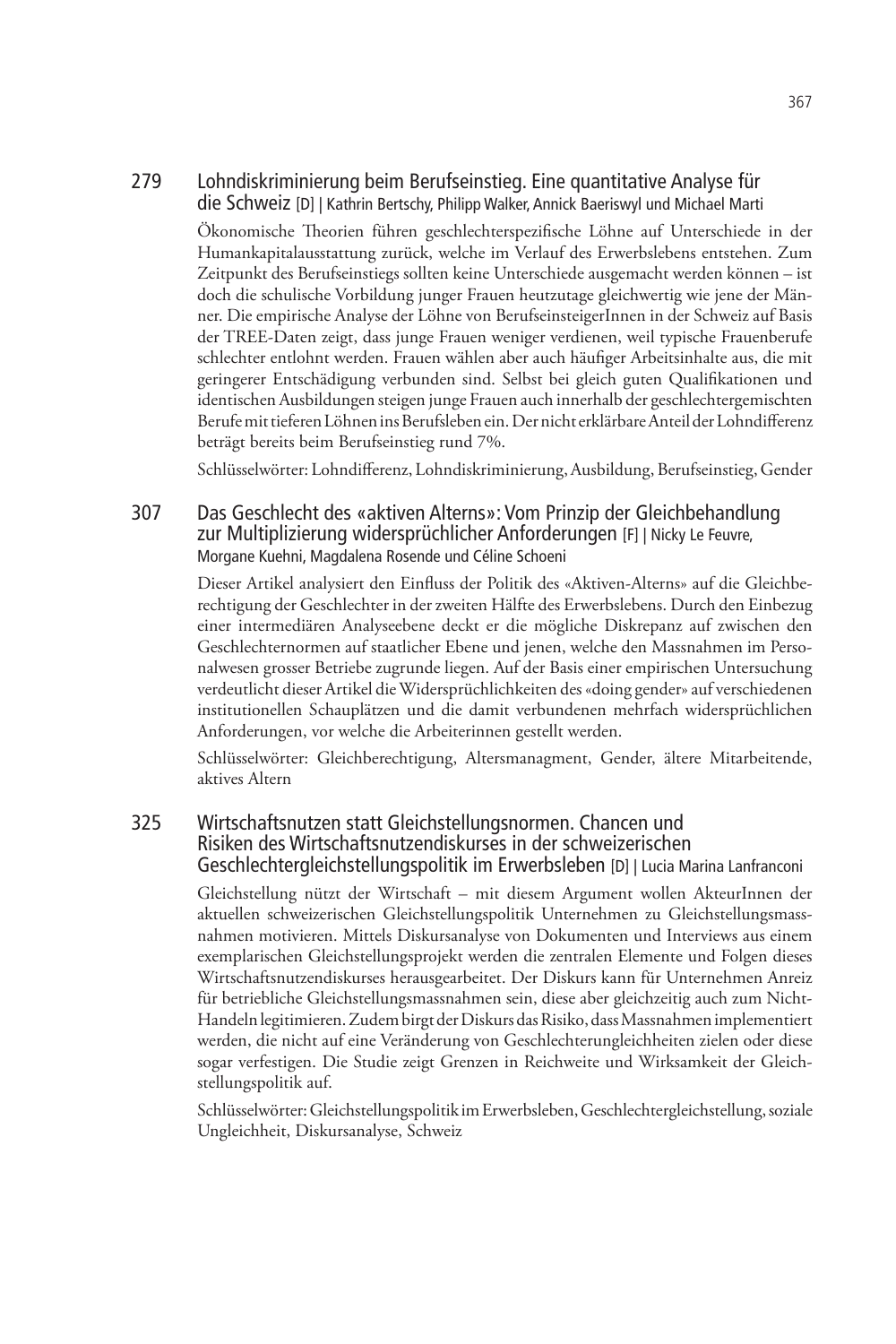#### 279 Lohndiskriminierung beim Berufseinstieg. Eine quantitative Analyse für die Schweiz [D] | Kathrin Bertschy, Philipp Walker, Annick Baeriswyl und Michael Marti

Ökonomische Theorien führen geschlechterspezifische Löhne auf Unterschiede in der Humankapitalausstattung zurück, welche im Verlauf des Erwerbslebens entstehen. Zum Zeitpunkt des Berufseinstiegs sollten keine Unterschiede ausgemacht werden können – ist doch die schulische Vorbildung junger Frauen heutzutage gleichwertig wie jene der Männer. Die empirische Analyse der Löhne von BerufseinsteigerInnen in der Schweiz auf Basis der TREE-Daten zeigt, dass junge Frauen weniger verdienen, weil typische Frauenberufe schlechter entlohnt werden. Frauen wählen aber auch häufiger Arbeitsinhalte aus, die mit geringerer Entschädigung verbunden sind. Selbst bei gleich guten Qualifikationen und identischen Ausbildungen steigen junge Frauen auch innerhalb der geschlechtergemischten Berufe mit tieferen Löhnen ins Berufsleben ein. Der nicht erklärbare Anteil der Lohndifferenz beträgt bereits beim Berufseinstieg rund 7%.

Schlüsselwörter: Lohndifferenz, Lohndiskriminierung, Ausbildung, Berufseinstieg, Gender

#### 307 Das Geschlecht des «aktiven Alterns»: Vom Prinzip der Gleichbehandlung zur Multiplizierung widersprüchlicher Anforderungen [F] | Nicky Le Feuvre, Morgane Kuehni, Magdalena Rosende und Céline Schoeni

Dieser Artikel analysiert den Einfluss der Politik des «Aktiven-Alterns» auf die Gleichberechtigung der Geschlechter in der zweiten Hälfte des Erwerbslebens. Durch den Einbezug einer intermediären Analyseebene deckt er die mögliche Diskrepanz auf zwischen den Geschlechternormen auf staatlicher Ebene und jenen, welche den Massnahmen im Personalwesen grosser Betriebe zugrunde liegen. Auf der Basis einer empirischen Untersuchung verdeutlicht dieser Artikel die Widersprüchlichkeiten des «doing gender» auf verschiedenen institutionellen Schauplätzen und die damit verbundenen mehrfach widersprüchlichen Anforderungen, vor welche die Arbeiterinnen gestellt werden.

Schlüsselwörter: Gleichberechtigung, Altersmanagment, Gender, ältere Mitarbeitende, aktives Altern

#### 325 Wirtschaftsnutzen statt Gleichstellungsnormen. Chancen und Risiken des Wirtschaftsnutzendiskurses in der schweizerischen Geschlechtergleichstellungspolitik im Erwerbsleben [D] | Lucia Marina Lanfranconi

Gleichstellung nützt der Wirtschaft – mit diesem Argument wollen AkteurInnen der aktuellen schweizerischen Gleichstellungspolitik Unternehmen zu Gleichstellungsmassnahmen motivieren. Mittels Diskursanalyse von Dokumenten und Interviews aus einem exemplarischen Gleichstellungsprojekt werden die zentralen Elemente und Folgen dieses Wirtschaftsnutzendiskurses herausgearbeitet. Der Diskurs kann für Unternehmen Anreiz für betriebliche Gleichstellungsmassnahmen sein, diese aber gleichzeitig auch zum Nicht-Handeln legitimieren. Zudem birgt der Diskurs das Risiko, dass Massnahmen implementiert werden, die nicht auf eine Veränderung von Geschlechterungleichheiten zielen oder diese sogar verfestigen. Die Studie zeigt Grenzen in Reichweite und Wirksamkeit der Gleichstellungspolitik auf.

Schlüsselwörter: Gleichstellungspolitik im Erwerbsleben, Geschlechtergleichstellung, soziale Ungleichheit, Diskursanalyse, Schweiz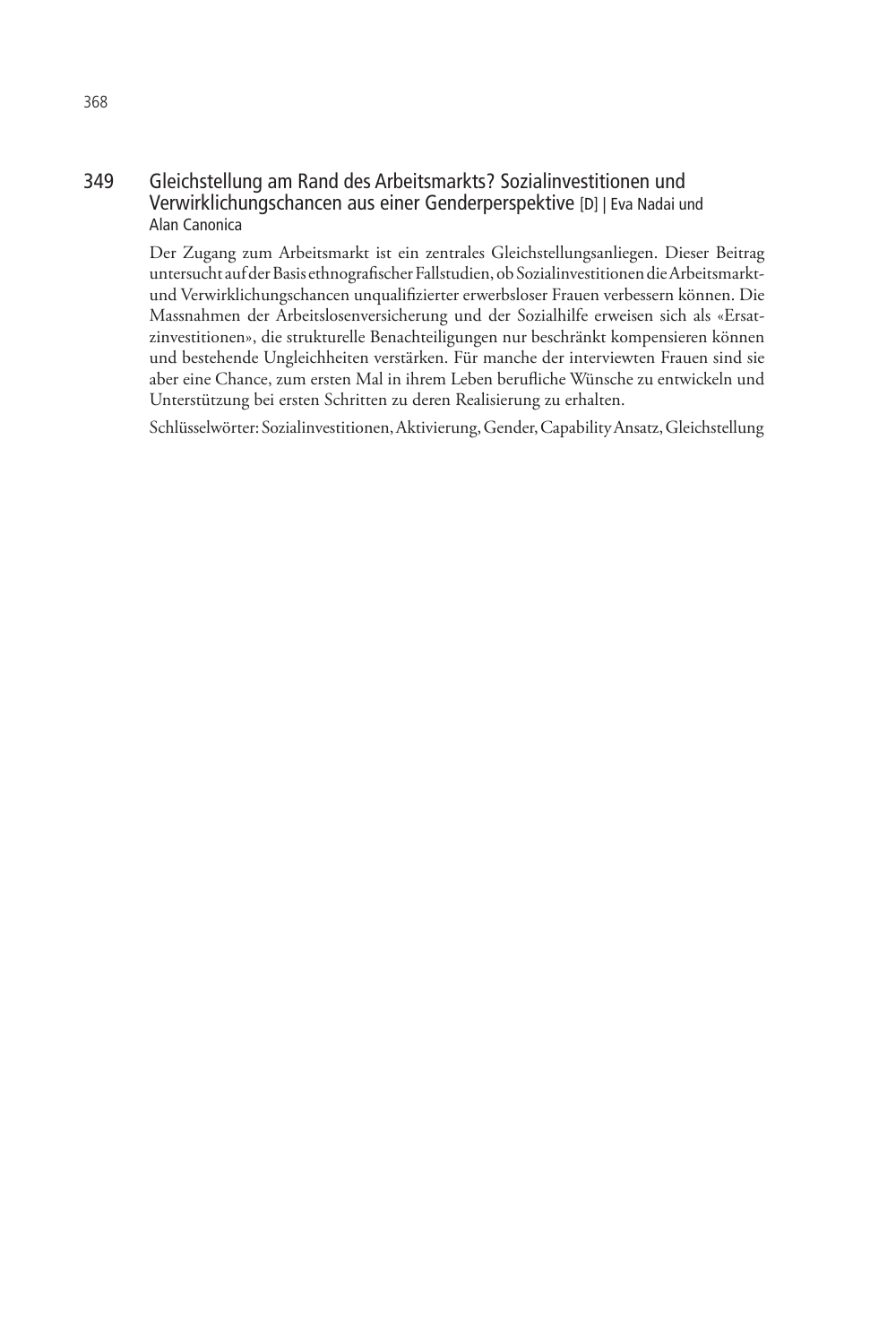#### 349 Gleichstellung am Rand des Arbeitsmarkts? Sozialinvestitionen und Verwirklichungschancen aus einer Genderperspektive [D] | Eva Nadai und Alan Canonica

Der Zugang zum Arbeitsmarkt ist ein zentrales Gleichstellungsanliegen. Dieser Beitrag untersucht auf der Basis ethnografischer Fallstudien, ob Sozialinvestitionen die Arbeitsmarktund Verwirklichungschancen unqualifizierter erwerbsloser Frauen verbessern können. Die Massnahmen der Arbeitslosenversicherung und der Sozialhilfe erweisen sich als «Ersatzinvestitionen», die strukturelle Benachteiligungen nur beschränkt kompensieren können und bestehende Ungleichheiten verstärken. Für manche der interviewten Frauen sind sie aber eine Chance, zum ersten Mal in ihrem Leben berufliche Wünsche zu entwickeln und Unterstützung bei ersten Schritten zu deren Realisierung zu erhalten.

Schlüsselwörter: Sozialinvestitionen, Aktivierung, Gender, Capability Ansatz, Gleichstellung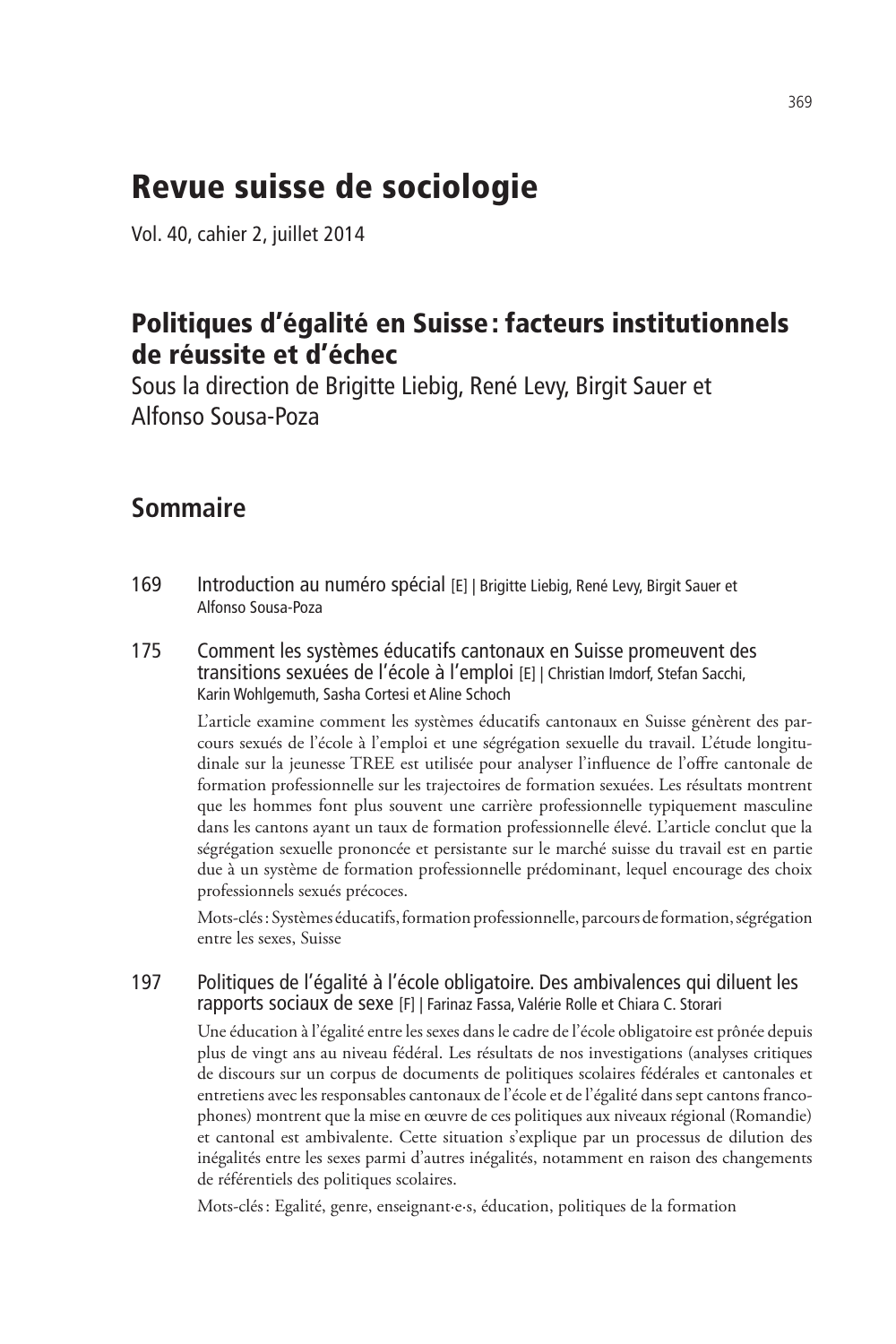## Revue suisse de sociologie

Vol. 40, cahier 2, juillet 2014

### Politiques d'égalité en Suisse: facteurs institutionnels de réussite et d'échec

Sous la direction de Brigitte Liebig, René Levy, Birgit Sauer et Alfonso Sousa-Poza

### **Sommaire**

- 169 Introduction au numéro spécial [E] | Brigitte Liebig, René Levy, Birgit Sauer et Alfonso Sousa-Poza
- 175 Comment les systèmes éducatifs cantonaux en Suisse promeuvent des transitions sexuées de l'école à l'emploi [E] | Christian Imdorf, Stefan Sacchi, Karin Wohlgemuth, Sasha Cortesi et Aline Schoch

L'article examine comment les systèmes éducatifs cantonaux en Suisse génèrent des parcours sexués de l'école à l'emploi et une ségrégation sexuelle du travail. L'étude longitudinale sur la jeunesse TREE est utilisée pour analyser l'influence de l'offre cantonale de formation professionnelle sur les trajectoires de formation sexuées. Les résultats montrent que les hommes font plus souvent une carrière professionnelle typiquement masculine dans les cantons ayant un taux de formation professionnelle élevé. L'article conclut que la ségrégation sexuelle prononcée et persistante sur le marché suisse du travail est en partie due à un système de formation professionnelle prédominant, lequel encourage des choix professionnels sexués précoces.

Mots-clés: Systèmes éducatifs, formation professionnelle, parcours de formation, ségrégation entre les sexes, Suisse

#### 197 Politiques de l'égalité à l'école obligatoire. Des ambivalences qui diluent les rapports sociaux de sexe [F] | Farinaz Fassa, Valérie Rolle et Chiara C. Storari

Une éducation à l'égalité entre les sexes dans le cadre de l'école obligatoire est prônée depuis plus de vingt ans au niveau fédéral. Les résultats de nos investigations (analyses critiques de discours sur un corpus de documents de politiques scolaires fédérales et cantonales et entretiens avec les responsables cantonaux de l'école et de l'égalité dans sept cantons francophones) montrent que la mise en œuvre de ces politiques aux niveaux régional (Romandie) et cantonal est ambivalente. Cette situation s'explique par un processus de dilution des inégalités entre les sexes parmi d'autres inégalités, notamment en raison des changements de référentiels des politiques scolaires.

Mots-clés: Egalité, genre, enseignant·e·s, éducation, politiques de la formation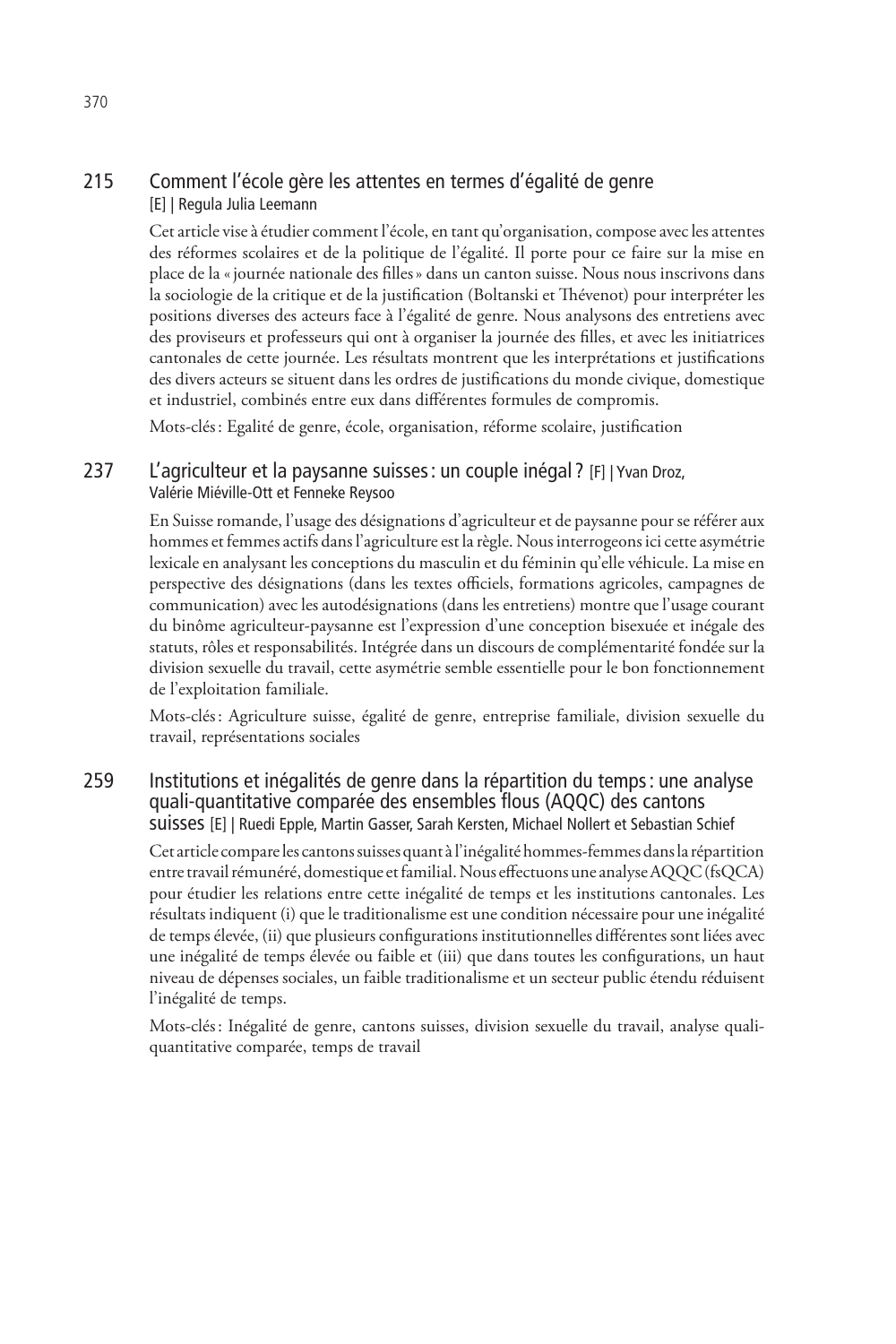#### 215 Comment l'école gère les attentes en termes d'égalité de genre [E] | Regula Julia Leemann

Cet article vise à étudier comment l'école, en tant qu'organisation, compose avec les attentes des réformes scolaires et de la politique de l'égalité. Il porte pour ce faire sur la mise en place de la «journée nationale des filles» dans un canton suisse. Nous nous inscrivons dans la sociologie de la critique et de la justification (Boltanski et Thévenot) pour interpréter les positions diverses des acteurs face à l'égalité de genre. Nous analysons des entretiens avec des proviseurs et professeurs qui ont à organiser la journée des filles, et avec les initiatrices cantonales de cette journée. Les résultats montrent que les interprétations et justifications des divers acteurs se situent dans les ordres de justifications du monde civique, domestique et industriel, combinés entre eux dans différentes formules de compromis.

Mots-clés: Egalité de genre, école, organisation, réforme scolaire, justification

#### 237 L'agriculteur et la paysanne suisses: un couple inégal ? [F] | Yvan Droz, Valérie Miéville-Ott et Fenneke Reysoo

En Suisse romande, l'usage des désignations d'agriculteur et de paysanne pour se référer aux hommes et femmes actifs dans l'agriculture est la règle. Nous interrogeons ici cette asymétrie lexicale en analysant les conceptions du masculin et du féminin qu'elle véhicule. La mise en perspective des désignations (dans les textes officiels, formations agricoles, campagnes de communication) avec les autodésignations (dans les entretiens) montre que l'usage courant du binôme agriculteur-paysanne est l'expression d'une conception bisexuée et inégale des statuts, rôles et responsabilités. Intégrée dans un discours de complémentarité fondée sur la division sexuelle du travail, cette asymétrie semble essentielle pour le bon fonctionnement de l'exploitation familiale.

Mots-clés: Agriculture suisse, égalité de genre, entreprise familiale, division sexuelle du travail, représentations sociales

#### 259 Institutions et inégalités de genre dans la répartition du temps: une analyse quali-quantitative comparée des ensembles flous (AQQC) des cantons suisses [E] | Ruedi Epple, Martin Gasser, Sarah Kersten, Michael Nollert et Sebastian Schief

Cet article compare les cantons suisses quant à l'inégalité hommes-femmes dans la répartition entre travail rémunéré, domestique et familial. Nous effectuons une analyse AQQC (fsQCA) pour étudier les relations entre cette inégalité de temps et les institutions cantonales. Les résultats indiquent (i) que le traditionalisme est une condition nécessaire pour une inégalité de temps élevée, (ii) que plusieurs configurations institutionnelles différentes sont liées avec une inégalité de temps élevée ou faible et (iii) que dans toutes les configurations, un haut niveau de dépenses sociales, un faible traditionalisme et un secteur public étendu réduisent l'inégalité de temps.

Mots-clés: Inégalité de genre, cantons suisses, division sexuelle du travail, analyse qualiquantitative comparée, temps de travail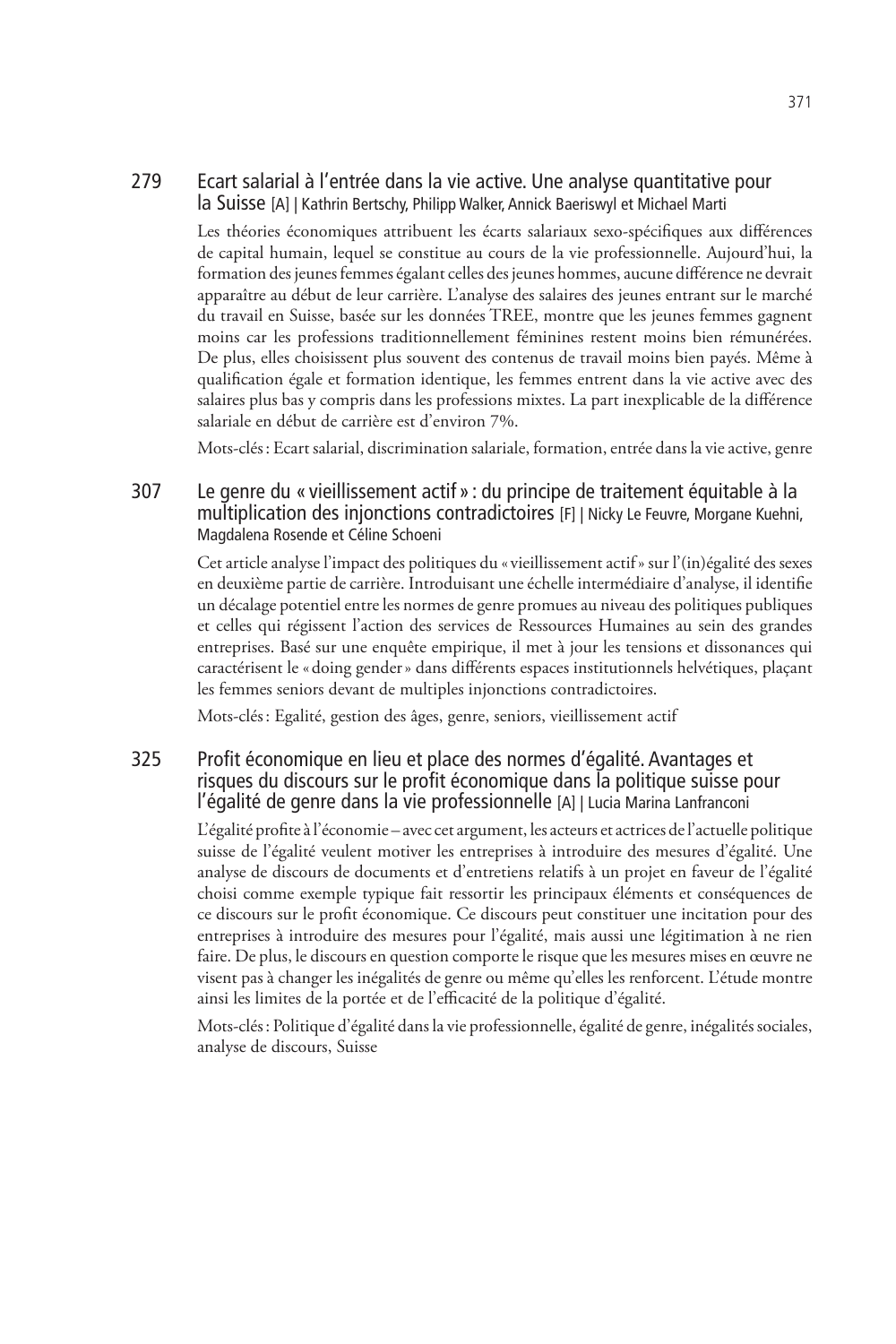#### 279 Ecart salarial à l'entrée dans la vie active. Une analyse quantitative pour la Suisse [A] | Kathrin Bertschy, Philipp Walker, Annick Baeriswyl et Michael Marti

Les théories économiques attribuent les écarts salariaux sexo-spécifiques aux différences de capital humain, lequel se constitue au cours de la vie professionnelle. Aujourd'hui, la formation des jeunes femmes égalant celles des jeunes hommes, aucune différence ne devrait apparaître au début de leur carrière. L'analyse des salaires des jeunes entrant sur le marché du travail en Suisse, basée sur les données TREE, montre que les jeunes femmes gagnent moins car les professions traditionnellement féminines restent moins bien rémunérées. De plus, elles choisissent plus souvent des contenus de travail moins bien payés. Même à qualification égale et formation identique, les femmes entrent dans la vie active avec des salaires plus bas y compris dans les professions mixtes. La part inexplicable de la différence salariale en début de carrière est d'environ 7%.

Mots-clés: Ecart salarial, discrimination salariale, formation, entrée dans la vie active, genre

#### 307 Le genre du « vieillissement actif »: du principe de traitement équitable à la multiplication des injonctions contradictoires [F] | Nicky Le Feuvre, Morgane Kuehni, Magdalena Rosende et Céline Schoeni

Cet article analyse l'impact des politiques du « vieillissement actif» sur l'(in)égalité des sexes en deuxième partie de carrière. Introduisant une échelle intermédiaire d'analyse, il identifie un décalage potentiel entre les normes de genre promues au niveau des politiques publiques et celles qui régissent l'action des services de Ressources Humaines au sein des grandes entreprises. Basé sur une enquête empirique, il met à jour les tensions et dissonances qui caractérisent le «doing gender» dans différents espaces institutionnels helvétiques, plaçant les femmes seniors devant de multiples injonctions contradictoires.

Mots-clés: Egalité, gestion des âges, genre, seniors, vieillissement actif

#### 325 Profit économique en lieu et place des normes d'égalité. Avantages et risques du discours sur le profit économique dans la politique suisse pour l'égalité de genre dans la vie professionnelle [A] | Lucia Marina Lanfranconi

L'égalité profite à l'économie – avec cet argument, les acteurs et actrices de l'actuelle politique suisse de l'égalité veulent motiver les entreprises à introduire des mesures d'égalité. Une analyse de discours de documents et d'entretiens relatifs à un projet en faveur de l'égalité choisi comme exemple typique fait ressortir les principaux éléments et conséquences de ce discours sur le profit économique. Ce discours peut constituer une incitation pour des entreprises à introduire des mesures pour l'égalité, mais aussi une légitimation à ne rien faire. De plus, le discours en question comporte le risque que les mesures mises en œuvre ne visent pas à changer les inégalités de genre ou même qu'elles les renforcent. L'étude montre ainsi les limites de la portée et de l'efficacité de la politique d'égalité.

Mots-clés: Politique d'égalité dans la vie professionnelle, égalité de genre, inégalités sociales, analyse de discours, Suisse